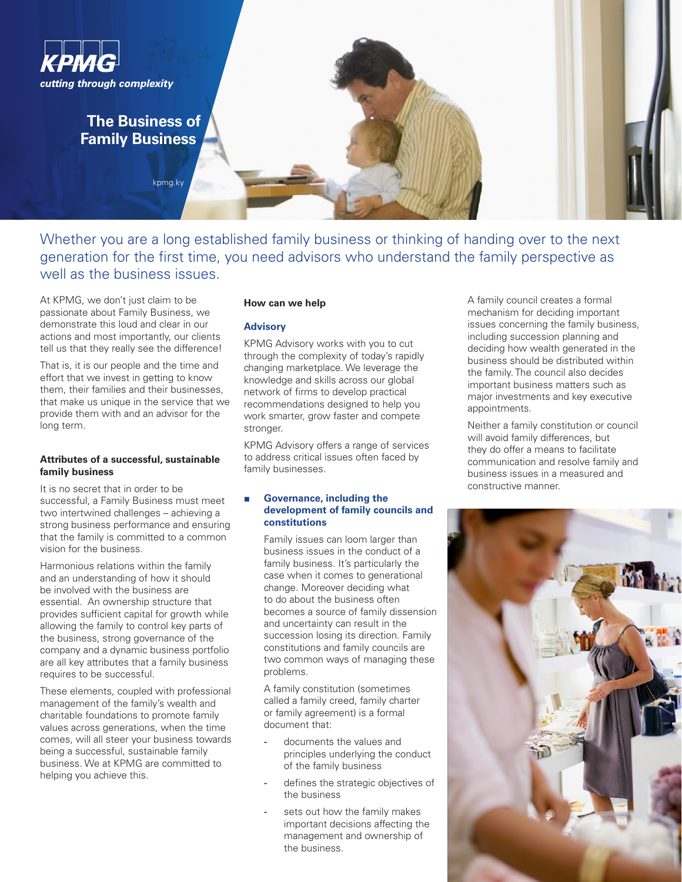

Whether you are a long established family business or thinking of handing over to the next generation for the first time, you need advisors who understand the family perspective as well as the business issues.

At KPMG, we don't just claim to be passionate about Family Business, we demonstrate this loud and clear in our actions and most importantly, our clients tell us that they really see the difference!

That is, it is our people and the time and effort that we invest in getting to know them, their families and their businesses, that make us unique in the service that we provide them with and an advisor for the long term.

# **Attributes of a successful, sustainable family business**

It is no secret that in order to be successful, a Family Business must meet two intertwined challenges – achieving a strong business performance and ensuring that the family is committed to a common vision for the business.

Harmonious relations within the family and an understanding of how it should be involved with the business are essential. An ownership structure that provides sufficient capital for growth while allowing the family to control key parts of the business, strong governance of the company and a dynamic business portfolio are all key attributes that a family business requires to be successful.

These elements, coupled with professional management of the family's wealth and charitable foundations to promote family values across generations, when the time comes, will all steer your business towards being a successful, sustainable family business. We at KPMG are committed to helping you achieve this.

### **How can we help**

### **Advisory**

KPMG Advisory works with you to cut through the complexity of today's rapidly changing marketplace. We leverage the knowledge and skills across our global network of firms to develop practical recommendations designed to help you work smarter, grow faster and compete stronger.

KPMG Advisory offers a range of services to address critical issues often faced by family businesses.

# **■ Governance, including the development of family councils and constitutions**

Family issues can loom larger than business issues in the conduct of a family business. It's particularly the case when it comes to generational change. Moreover deciding what to do about the business often becomes a source of family dissension and uncertainty can result in the succession losing its direction. Family constitutions and family councils are two common ways of managing these problems.

A family constitution (sometimes called a family creed, family charter or family agreement) is a formal document that:

- documents the values and principles underlying the conduct of the family business
- defines the strategic objectives of the business
- sets out how the family makes important decisions affecting the management and ownership of the business.

A family council creates a formal mechanism for deciding important issues concerning the family business, including succession planning and deciding how wealth generated in the business should be distributed within the family. The council also decides important business matters such as major investments and key executive appointments.

Neither a family constitution or council will avoid family differences, but they do offer a means to facilitate communication and resolve family and business issues in a measured and constructive manner.